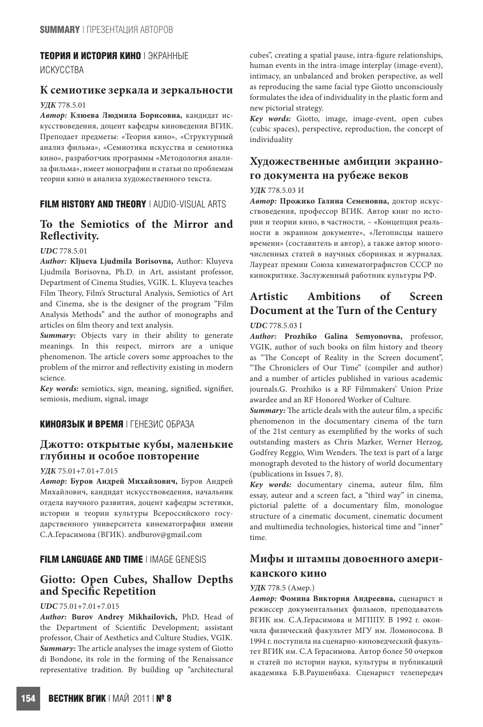#### **ТЕОРИЯ И ИСТОРИЯ КИНО** | ЭКРАННЫЕ

ИСКУССТВА

## **К семиотике зеркала и зеркальности**

## *УДК* 778.5.01

*Автор:* **Клюева Людмила Борисовна,** кандидат искусствоведения, доцент кафедры киноведения ВГИК. Преподает предметы: «Теория кино», «Структурный анализ фильма», «Семиотика искусства и семиотика кино», разработчик программы «Методология анализа фильма», имеет монографии и статьи по проблемам теории кино и анализа художественного текста.

# **FILM HISTORY AND THEORY** | AUDIO-VISUAL ARTS

# **To the Semiotics of the Mirror and Reflectivity.**

#### *UDC* 778.5.01

*Author:* **Kljueva Ljudmila Borisovna,** Author: Kluyeva Ljudmila Borisovna, Ph.D. in Art, assistant professor, Department of Cinema Studies, VGIK. L. Kluyeva teaches Film Theory, Film's Structural Analysis, Semiotics of Art and Cinema, she is the designer of the program "Film Analysis Methods" and the author of monographs and articles on film theory and text analysis.

Summary: Objects vary in their ability to generate meanings. In this respect, mirrors are a unique phenomenon. The article covers some approaches to the problem of the mirror and reflectivity existing in modern science.

*Key words:* semiotics, sign, meaning, signified, signifier, semiosis, medium, signal, image

## **КИНОЯЗЫК И ВРЕМЯ** | ГЕНЕЗИС ОБРАЗА

# **Джотто: открытые кубы, маленькие глубины и особое повторение**

#### *УДК* 75.01+7.01+7.015

*Автор:* **Буров Андрей Михайлович,** Буров Андрей Михайлович, кандидат искусствоведения, начальник отдела научного развития, доцент кафедры эстетики, истории и теории культуры Всероссийского государственного университета кинематографии имени С.А.Герасимова (ВГИК). andburov@gmail.com

#### **FILM LANGUAGE AND TIME I IMAGE GENESIS**

# **Giotto: Open Cubes, Shallow Depths and Specific Repetition**

## *UDC* 75.01+7.01+7.015

*Author:* **Burov Andrey Mikhailovich,** PhD, Head of the Department of Scientific Development; assistant professor, Chair of Aesthetics and Culture Studies, VGIK. *Summary:* The article analyses the image system of Giotto di Bondone, its role in the forming of the Renaissance representative tradition. By building up "architectural cubes", creating a spatial pause, intra-figure relationships, human events in the intra-image interplay (image-event), intimacy, an unbalanced and broken perspective, as well as reproducing the same facial type Giotto unconsciously formulates the idea of individuality in the plastic form and new pictorial strategy.

*Key words:* Giotto, image, image-event, open cubes (cubic spaces), perspective, reproduction, the concept of individuality

# **Художественные амбиции экранного документа на рубеже веков**

## *УДК* 778.5.03 И

*Автор:* **Прожико Галина Семеновна,** доктор искусствоведения, профессор ВГИК. Автор книг по истории и теории кино, в частности, – «Концепция реальности в экранном документе», «Летописцы нашего времени» (составитель и автор), а также автор многочисленных статей в научных сборниках и журналах. Лауреат премии Союза кинематографистов СССР по кинокритике. Заслуженный работник культуры РФ.

# **Artistic Ambitions of Screen Document at the Turn of the Century**

#### *UDC* 778.5.03 I

*Author:* **Prozhiko Galina Semyonovna,** professor, VGIK, author of such books on film history and theory as "The Concept of Reality in the Screen document", "The Chroniclers of Our Time" (compiler and author) and a number of articles published in various academic journals.G. Prozhiko is a RF Filmmakers' Union Prize awardee and an RF Honored Worker of Culture.

*Summary:* The article deals with the auteur film, a specific phenomenon in the documentary cinema of the turn of the 21st century as exemplified by the works of such outstanding masters as Chris Marker, Werner Herzog, Godfrey Reggio, Wim Wenders. The text is part of a large monograph devoted to the history of world documentary (publications in Issues 7, 8).

*Key words:* documentary cinema, auteur film, film essay, auteur and a screen fact, a "third way" in cinema, pictorial palette of a documentary film, monologue structure of a cinematic document, cinematic document and multimedia technologies, historical time and "inner" time.

# **Мифы и штампы довоенного американского кино**

#### *УДК* 778.5 (Амер.)

*Автор:* **Фомина Виктория Андреевна,** сценарист и режиссер документальных фильмов, преподаватель ВГИК им. С.А.Герасимова и МГППУ. В 1992 г. окончила физический факультет МГУ им. Ломоносова. В 1994 г. поступила на сценарно-киноведческий факультет ВГИК им. С.А Герасимова. Автор более 50 очерков и статей по истории науки, культуры и публикаций академика Б.В.Раушенбаха. Сценарист телепередач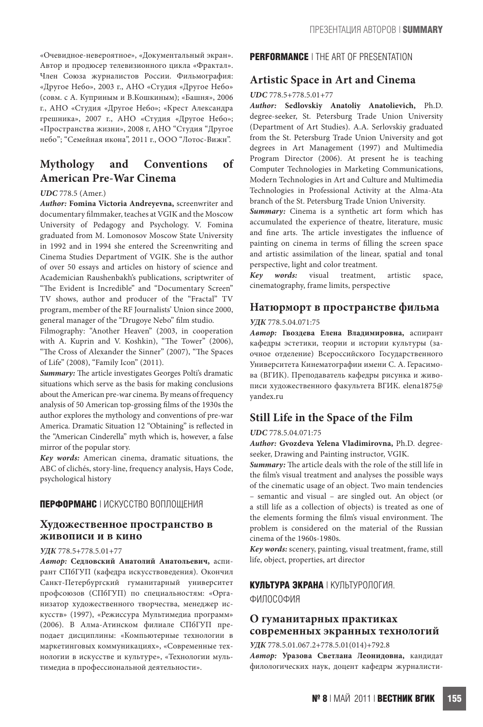«Очевидное-невероятное», «Документальный экран». Автор и продюсер телевизионного цикла «Фрактал». Член Союза журналистов России. Фильмография: «Другое Небо», 2003 г., АНО «Студия «Другое Небо» (совм. с А. Куприным и В.Кошкиным); «Башня», 2006 г., АНО «Студия «Другое Небо»; «Крест Александра грешника», 2007 г., АНО «Студия «Другое Небо»; «Пространства жизни», 2008 г, АНО "Студия "Другое небо"; "Семейная икона", 2011 г., ООО "Лотос-Вижн".

# **Mythology and Conventions of American Pre-War Cinema**

#### *UDC* 778.5 (Amer.)

*Author:* **Fomina Victoria Andreyevna,** screenwriter and documentary filmmaker, teaches at VGIK and the Moscow University of Pedagogy and Psychology. V. Fomina graduated from M. Lomonosov Moscow State University in 1992 and in 1994 she entered the Screenwriting and Cinema Studies Department of VGIK. She is the author of over 50 essays and articles on history of science and Academician Raushenbakh's publications, scriptwriter of "The Evident is Incredible" and "Documentary Screen" TV shows, author and producer of the "Fractal" TV program, member of the RF Journalists' Union since 2000, general manager of the "Drugoye Nebo" film studio.

Filmography: "Another Heaven" (2003, in cooperation with A. Kuprin and V. Koshkin), "The Tower" (2006), "The Cross of Alexander the Sinner" (2007), "The Spaces of Life" (2008), "Family Icon" (2011).

*Summary:* The article investigates Georges Polti's dramatic situations which serve as the basis for making conclusions about the American pre-war cinema. By means of frequency analysis of 50 American top-grossing films of the 1930s the author explores the mythology and conventions of pre-war America. Dramatic Situation 12 "Obtaining" is reflected in the "American Cinderella" myth which is, however, a false mirror of the popular story.

*Key words:* American cinema, dramatic situations, the ABC of clichés, story-line, frequency analysis, Hays Code, psychological history

## **ПЕРФОРМАНС** | ИСКУССТВО ВОПЛОЩЕНИЯ

# **Художественное пространство в живописи и в кино**

#### *УДК* 778.5+778.5.01+77

*Автор:* **Седловский Анатолий Анатольевич,** аспирант СПбГУП (кафедра искусствоведения). Окончил Санкт-Петербургский гуманитарный университет профсоюзов (СПбГУП) по специальностям: «Организатор художественного творчества, менеджер искусств» (1997), «Режиссура Мультимедиа программ» (2006). В Алма-Атинском филиале СПбГУП преподает дисциплины: «Компьютерные технологии в маркетинговых коммуникациях», «Современные технологии в искусстве и культуре», «Технологии мультимедиа в профессиональной деятельности».

## **PERFORMANCE** | THE ART OF PRESENTATION

## **Artistic Space in Art and Cinema**

#### *UDC* 778.5+778.5.01+77

*Author:* **Sedlovskiy Anatoliy Anatolievich,** Ph.D. degree-seeker, St. Petersburg Trade Union University (Department of Art Studies). A.A. Serlovskiy graduated from the St. Petersburg Trade Union University and got degrees in Art Management (1997) and Multimedia Program Director (2006). At present he is teaching Computer Technologies in Marketing Communications, Modern Technologies in Art and Culture and Multimedia Technologies in Professional Activity at the Alma-Ata branch of the St. Petersburg Trade Union University.

*Summary:* Cinema is a synthetic art form which has accumulated the experience of theatre, literature, music and fine arts. The article investigates the influence of painting on cinema in terms of filling the screen space and artistic assimilation of the linear, spatial and tonal perspective, light and color treatment.

*Key words:* visual treatment, artistic space, cinematography, frame limits, perspective

## **Натюрморт в пространстве фильма**

#### *УДК* 778.5.04.071:75

*Автор:* **Гвоздева Елена Владимировна,** аспирант кафедры эстетики, теории и истории культуры (заочное отделение) Всероссийского Государственного Университета Кинематографии имени С. А. Герасимова (ВГИК). Преподаватель кафедры рисунка и живописи художественного факультета ВГИК. elena1875@ yandex.ru

# **Still Life in the Space of the Film**

#### *UDC* 778.5.04.071:75

*Author:* **Gvozdeva Yelena Vladimirovna,** Ph.D. degreeseeker, Drawing and Painting instructor, VGIK.

*Summary:* The article deals with the role of the still life in the film's visual treatment and analyses the possible ways of the cinematic usage of an object. Two main tendencies – semantic and visual – are singled out. An object (or a still life as a collection of objects) is treated as one of the elements forming the film's visual environment. The problem is considered on the material of the Russian cinema of the 1960s-1980s.

*Key words:* scenery, painting, visual treatment, frame, still life, object, properties, art director

#### **КУЛЬТУРА ЭКРАНА** | КУЛЬТУРОЛОГИЯ.

ФИЛОСОФИЯ

# **О гуманитарных практиках современных экранных технологий**

*УДК* 778.5.01.067.2+778.5.01(014)+792.8

*Автор:* **Уразова Светлана Леонидовна,** кандидат филологических наук, доцент кафедры журналисти-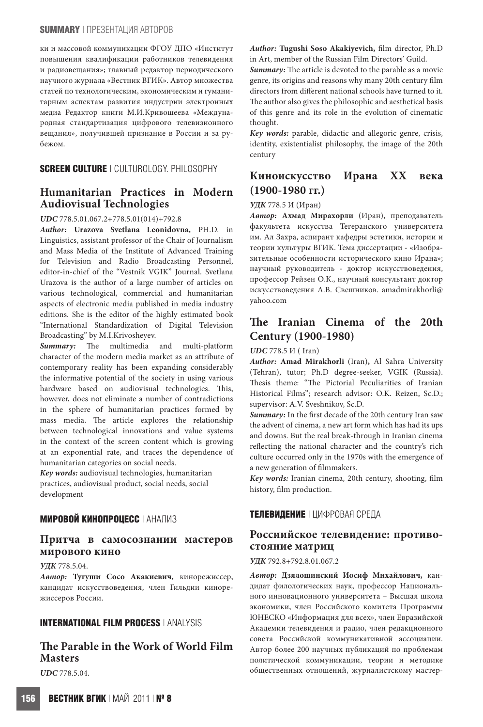#### **SUMMARY** | ПРЕЗЕНТАЦИЯ АВТОРОВ

ки и массовой коммуникации ФГОУ ДПО «Институт повышения квалификации работников телевидения и радиовещания»; главный редактор периодического научного журнала «Вестник ВГИК». Автор множества статей по технологическим, экономическим и гуманитарным аспектам развития индустрии электронных медиа Редактор книги М.И.Кривошеева «Международная стандартизация цифрового телевизионного вещания», получившей признание в России и за рубежом.

# **SCREEN CULTURE** | CULTUROLOGY. PHILOSOPHY

# **Humanitarian Practices in Modern Audiovisual Technologies**

#### *UDC* 778.5.01.067.2+778.5.01(014)+792.8

*Author:* **Urazova Svetlana Leonidovna,** PH.D. in Linguistics, assistant professor of the Chair of Journalism and Mass Media of the Institute of Advanced Training for Television and Radio Broadcasting Personnel, editor-in-chief of the "Vestnik VGIK" Journal. Svetlana Urazova is the author of a large number of articles on various technological, commercial and humanitarian aspects of electronic media published in media industry editions. She is the editor of the highly estimated book "International Standardization of Digital Television Broadcasting" by M.I.Krivosheyev.

*Summary:* The multimedia and multi-platform character of the modern media market as an attribute of contemporary reality has been expanding considerably the informative potential of the society in using various hardware based on audiovisual technologies. This, however, does not eliminate a number of contradictions in the sphere of humanitarian practices formed by mass media. The article explores the relationship between technological innovations and value systems in the context of the screen content which is growing at an exponential rate, and traces the dependence of humanitarian categories on social needs.

*Key words:* audiovisual technologies, humanitarian practices, audiovisual product, social needs, social development

# **МИРОВОЙ КИНОПРОЦЕСС** | АНАЛИЗ

# **Притча в самосознании мастеров мирового кино**

#### *УДК* 778.5.04.

*Автор:* **Тугуши Сосо Акакиевич,** кинорежиссер, кандидат искусствоведения, член Гильдии кинорежиссеров России.

## **INTERNATIONAL FILM PROCESS** | ANALYSIS

# **The Parable in the Work of World Film Masters**

*UDC* 778.5.04.

*Author:* **Tugushi Soso Akakiyevich,** film director, Ph.D in Art, member of the Russian Film Directors' Guild.

*Summary:* The article is devoted to the parable as a movie genre, its origins and reasons why many 20th century film directors from different national schools have turned to it. The author also gives the philosophic and aesthetical basis of this genre and its role in the evolution of cinematic thought.

*Key words:* parable, didactic and allegoric genre, crisis, identity, existentialist philosophy, the image of the 20th century

# **Киноискусство Ирана XX века (1900-1980 гг.)**

#### *УДК* 778.5 И (Иран)

*Автор:* **Ахмад Мирахорли** (Иран), преподаватель факультета искусства Тегеранского университета им. Ал Захра, аспирант кафедры эстетики, истории и теории культуры ВГИК. Тема диссертации - «Изобразительные особенности исторического кино Ирана»; научный руководитель - доктор искусствоведения, профессор Рейзен О.К., научный консультант доктор искусствоведения А.В. Свешников. amadmirakhorli@ yahoo.com

# **The Iranian Cinema of the 20th Century (1900-1980)**

#### *UDC* 778.5 И ( Iran)

*Author:* **Amad Mirakhorli** (Iran)**,** Al Sahra University (Tehran), tutor; Ph.D degree-seeker, VGIK (Russia). Thesis theme: "The Pictorial Peculiarities of Iranian Historical Films"; research advisor: O.K. Reizen, Sc.D.; supervisor: A.V. Sveshnikov, Sc.D.

*Summary:* In the first decade of the 20th century Iran saw the advent of cinema, a new art form which has had its ups and downs. But the real break-through in Iranian cinema reflecting the national character and the country's rich culture occurred only in the 1970s with the emergence of a new generation of filmmakers.

*Key words:* Iranian cinema, 20th century, shooting, film history, film production.

## **ТЕЛЕВИДЕНИЕ** | ЦИФРОВАЯ СРЕДА

# **Россиийское телевидение: противостояние матриц**

#### *УДК* 792.8+792.8.01.067.2

*Автор:* **Дзялошинский Иосиф Михайлович,** кандидат филологических наук, профессор Национального инновационного университета – Высшая школа экономики, член Российского комитета Программы ЮНЕСКО «Информация для всех», член Евразийской Академии телевидения и радио, член редакционного совета Российской коммуникативной ассоциации. Автор более 200 научных публикаций по проблемам политической коммуникации, теории и методике общественных отношений, журналистскому мастер